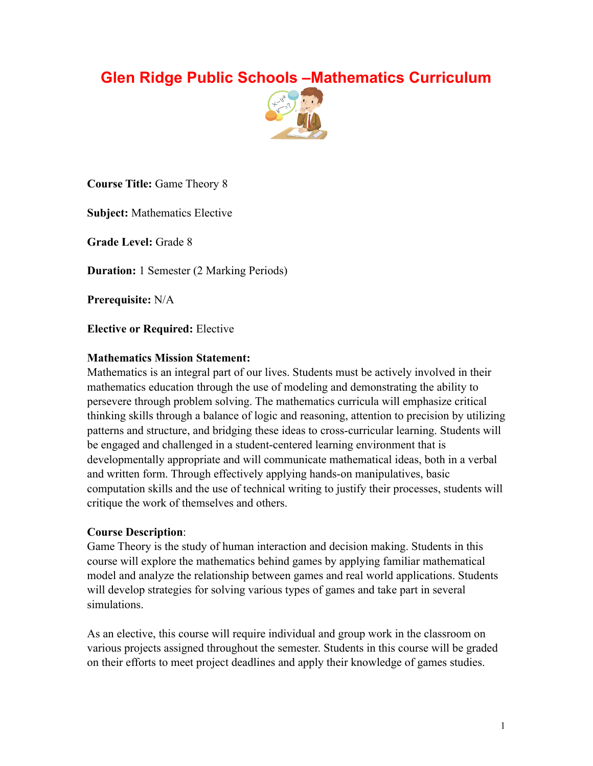# **Glen Ridge Public Schools –Mathematics Curriculum**



**Course Title:** Game Theory 8

**Subject:** Mathematics Elective

**Grade Level:** Grade 8

**Duration:** 1 Semester (2 Marking Periods)

**Prerequisite:** N/A

**Elective or Required:** Elective

### **Mathematics Mission Statement:**

Mathematics is an integral part of our lives. Students must be actively involved in their mathematics education through the use of modeling and demonstrating the ability to persevere through problem solving. The mathematics curricula will emphasize critical thinking skills through a balance of logic and reasoning, attention to precision by utilizing patterns and structure, and bridging these ideas to cross-curricular learning. Students will be engaged and challenged in a student-centered learning environment that is developmentally appropriate and will communicate mathematical ideas, both in a verbal and written form. Through effectively applying hands-on manipulatives, basic computation skills and the use of technical writing to justify their processes, students will critique the work of themselves and others.

### **Course Description**:

Game Theory is the study of human interaction and decision making. Students in this course will explore the mathematics behind games by applying familiar mathematical model and analyze the relationship between games and real world applications. Students will develop strategies for solving various types of games and take part in several simulations.

As an elective, this course will require individual and group work in the classroom on various projects assigned throughout the semester. Students in this course will be graded on their efforts to meet project deadlines and apply their knowledge of games studies.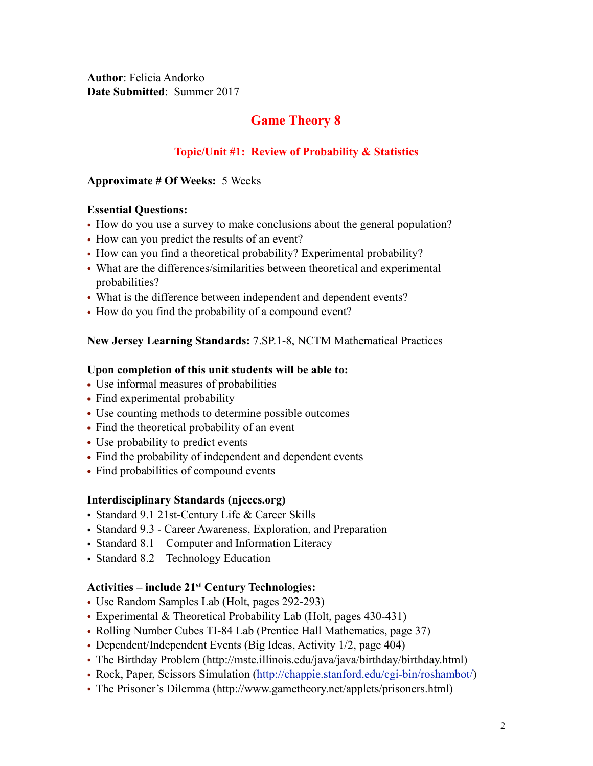**Author**: Felicia Andorko **Date Submitted**: Summer 2017

## **Game Theory 8**

### **Topic/Unit #1: Review of Probability & Statistics**

#### **Approximate # Of Weeks:** 5 Weeks

#### **Essential Questions:**

- How do you use a survey to make conclusions about the general population?
- How can you predict the results of an event?
- How can you find a theoretical probability? Experimental probability?
- What are the differences/similarities between theoretical and experimental probabilities?
- What is the difference between independent and dependent events?
- How do you find the probability of a compound event?

### **New Jersey Learning Standards:** 7.SP.1-8, NCTM Mathematical Practices

#### **Upon completion of this unit students will be able to:**

- **•** Use informal measures of probabilities
- **•** Find experimental probability
- **•** Use counting methods to determine possible outcomes
- **•** Find the theoretical probability of an event
- **•** Use probability to predict events
- **•** Find the probability of independent and dependent events
- **•** Find probabilities of compound events

#### **Interdisciplinary Standards (njcccs.org)**

- Standard 9.1 21st-Century Life & Career Skills
- Standard 9.3 Career Awareness, Exploration, and Preparation
- Standard 8.1 Computer and Information Literacy
- Standard 8.2 Technology Education

### **Activities – include 21st Century Technologies:**

- Use Random Samples Lab (Holt, pages 292-293)
- Experimental & Theoretical Probability Lab (Holt, pages 430-431)
- Rolling Number Cubes TI-84 Lab (Prentice Hall Mathematics, page 37)
- Dependent/Independent Events (Big Ideas, Activity 1/2, page 404)
- The Birthday Problem (http://mste.illinois.edu/java/java/birthday/birthday.html)
- Rock, Paper, Scissors Simulation [\(http://chappie.stanford.edu/cgi-bin/roshambot/](http://chappie.stanford.edu/cgi-bin/roshambot/))
- The Prisoner's Dilemma (http://www.gametheory.net/applets/prisoners.html)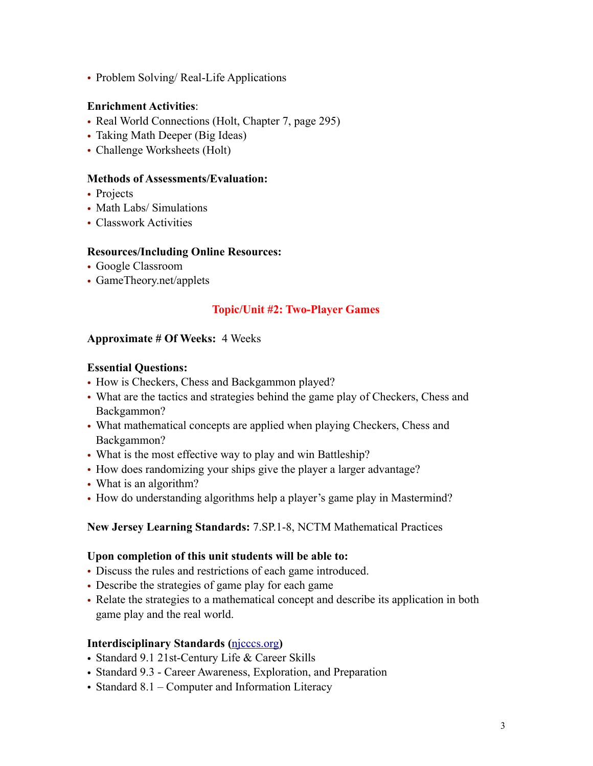• Problem Solving/ Real-Life Applications

### **Enrichment Activities**:

- Real World Connections (Holt, Chapter 7, page 295)
- Taking Math Deeper (Big Ideas)
- Challenge Worksheets (Holt)

#### **Methods of Assessments/Evaluation:**

- Projects
- Math Labs/ Simulations
- Classwork Activities

#### **Resources/Including Online Resources:**

- Google Classroom
- GameTheory.net/applets

### **Topic/Unit #2: Two-Player Games**

#### **Approximate # Of Weeks:** 4 Weeks

#### **Essential Questions:**

- How is Checkers, Chess and Backgammon played?
- What are the tactics and strategies behind the game play of Checkers, Chess and Backgammon?
- What mathematical concepts are applied when playing Checkers, Chess and Backgammon?
- What is the most effective way to play and win Battleship?
- How does randomizing your ships give the player a larger advantage?
- What is an algorithm?
- How do understanding algorithms help a player's game play in Mastermind?

### **New Jersey Learning Standards:** 7.SP.1-8, NCTM Mathematical Practices

#### **Upon completion of this unit students will be able to:**

- Discuss the rules and restrictions of each game introduced.
- Describe the strategies of game play for each game
- Relate the strategies to a mathematical concept and describe its application in both game play and the real world.

### **Interdisciplinary Standards (**[njcccs.org](http://njcccs.org)**)**

- Standard 9.1 21st-Century Life & Career Skills
- Standard 9.3 Career Awareness, Exploration, and Preparation
- Standard 8.1 Computer and Information Literacy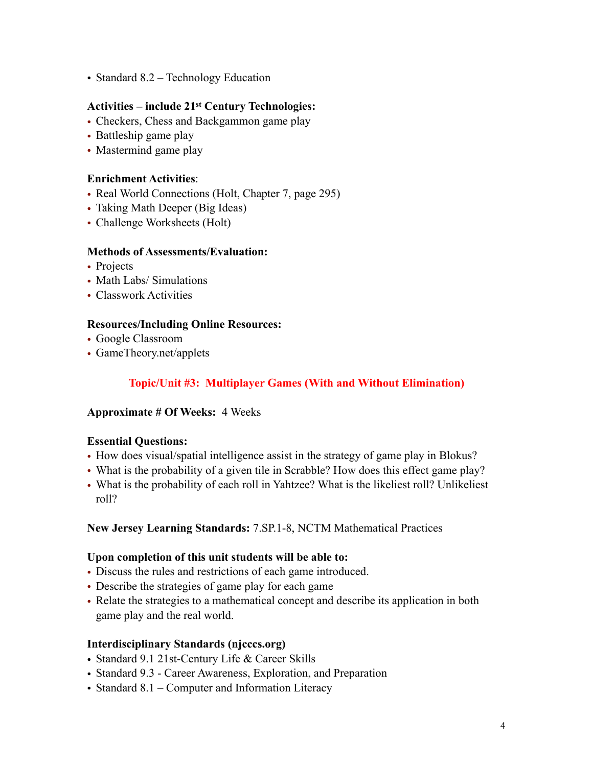• Standard 8.2 – Technology Education

### **Activities – include 21st Century Technologies:**

- Checkers, Chess and Backgammon game play
- Battleship game play
- Mastermind game play

### **Enrichment Activities**:

- Real World Connections (Holt, Chapter 7, page 295)
- Taking Math Deeper (Big Ideas)
- Challenge Worksheets (Holt)

### **Methods of Assessments/Evaluation:**

- Projects
- Math Labs/ Simulations
- Classwork Activities

### **Resources/Including Online Resources:**

- Google Classroom
- GameTheory.net/applets

### **Topic/Unit #3: Multiplayer Games (With and Without Elimination)**

### **Approximate # Of Weeks:** 4 Weeks

### **Essential Questions:**

- How does visual/spatial intelligence assist in the strategy of game play in Blokus?
- What is the probability of a given tile in Scrabble? How does this effect game play?
- What is the probability of each roll in Yahtzee? What is the likeliest roll? Unlikeliest roll?

### **New Jersey Learning Standards:** 7.SP.1-8, NCTM Mathematical Practices

### **Upon completion of this unit students will be able to:**

- Discuss the rules and restrictions of each game introduced.
- Describe the strategies of game play for each game
- Relate the strategies to a mathematical concept and describe its application in both game play and the real world.

### **Interdisciplinary Standards (njcccs.org)**

- Standard 9.1 21st-Century Life & Career Skills
- Standard 9.3 Career Awareness, Exploration, and Preparation
- Standard 8.1 Computer and Information Literacy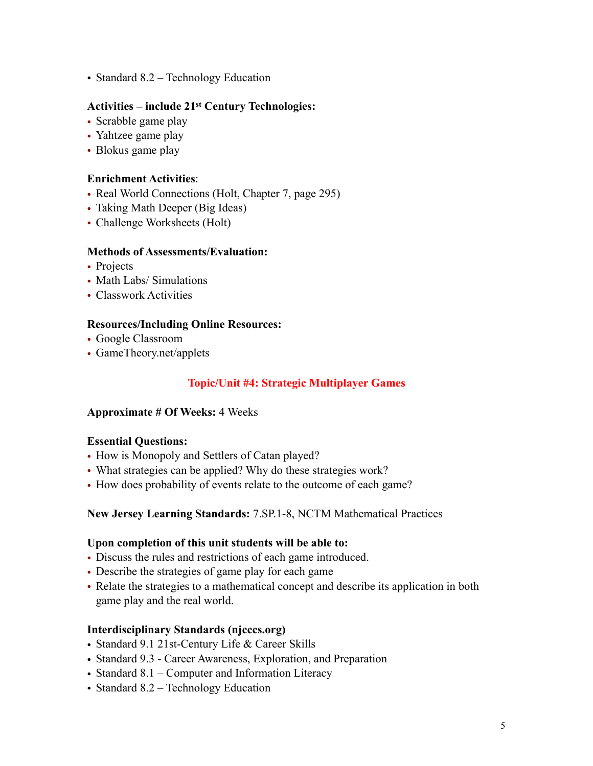• Standard 8.2 – Technology Education

### **Activities – include 21st Century Technologies:**

- Scrabble game play
- Yahtzee game play
- Blokus game play

### **Enrichment Activities**:

- Real World Connections (Holt, Chapter 7, page 295)
- Taking Math Deeper (Big Ideas)
- Challenge Worksheets (Holt)

### **Methods of Assessments/Evaluation:**

- Projects
- Math Labs/ Simulations
- Classwork Activities

### **Resources/Including Online Resources:**

- Google Classroom
- GameTheory.net/applets

### **Topic/Unit #4: Strategic Multiplayer Games**

### **Approximate # Of Weeks:** 4 Weeks

### **Essential Questions:**

- How is Monopoly and Settlers of Catan played?
- What strategies can be applied? Why do these strategies work?
- How does probability of events relate to the outcome of each game?

### **New Jersey Learning Standards:** 7.SP.1-8, NCTM Mathematical Practices

### **Upon completion of this unit students will be able to:**

- Discuss the rules and restrictions of each game introduced.
- Describe the strategies of game play for each game
- Relate the strategies to a mathematical concept and describe its application in both game play and the real world.

### **Interdisciplinary Standards (njcccs.org)**

- Standard 9.1 21st-Century Life & Career Skills
- Standard 9.3 Career Awareness, Exploration, and Preparation
- Standard 8.1 Computer and Information Literacy
- Standard 8.2 Technology Education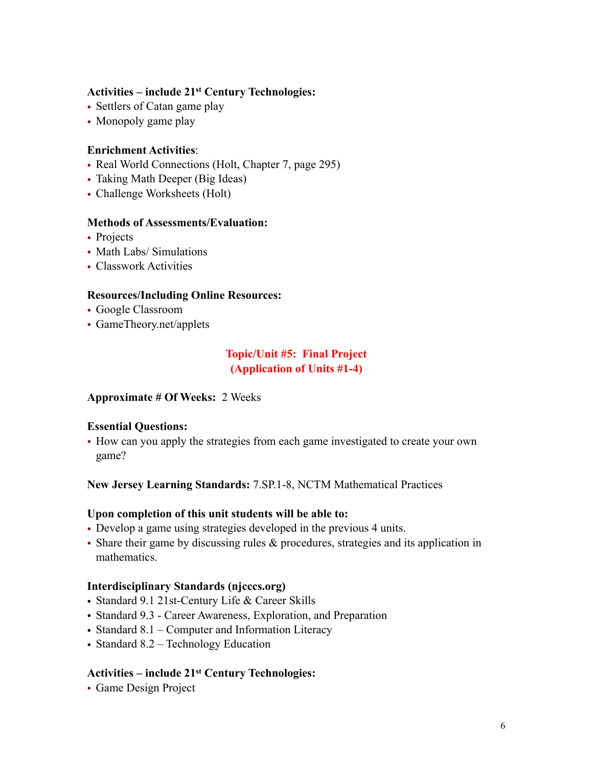### **Activities – include 21st Century Technologies:**

- Settlers of Catan game play
- Monopoly game play

### **Enrichment Activities**:

- Real World Connections (Holt, Chapter 7, page 295)
- Taking Math Deeper (Big Ideas)
- Challenge Worksheets (Holt)

#### **Methods of Assessments/Evaluation:**

- Projects
- Math Labs/ Simulations
- Classwork Activities

### **Resources/Including Online Resources:**

- Google Classroom
- GameTheory.net/applets

### **Topic/Unit #5: Final Project (Application of Units #1-4)**

### **Approximate # Of Weeks:** 2 Weeks

### **Essential Questions:**

• How can you apply the strategies from each game investigated to create your own game?

**New Jersey Learning Standards:** 7.SP.1-8, NCTM Mathematical Practices

### **Upon completion of this unit students will be able to:**

- Develop a game using strategies developed in the previous 4 units.
- Share their game by discussing rules & procedures, strategies and its application in mathematics.

### **Interdisciplinary Standards (njcccs.org)**

- Standard 9.1 21st-Century Life & Career Skills
- Standard 9.3 Career Awareness, Exploration, and Preparation
- Standard 8.1 Computer and Information Literacy
- Standard 8.2 Technology Education

### **Activities – include 21st Century Technologies:**

• Game Design Project